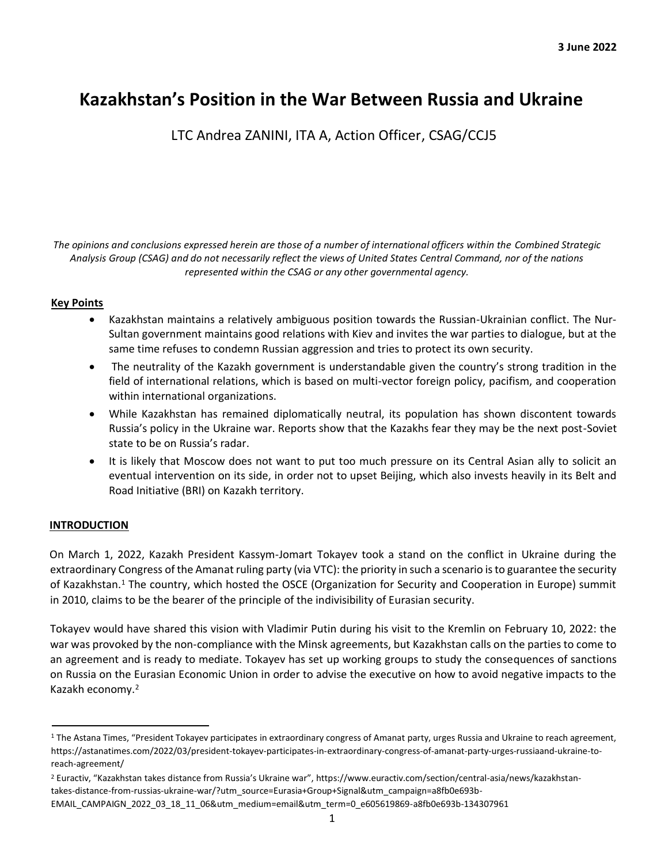# **Kazakhstan's Position in the War Between Russia and Ukraine**

LTC Andrea ZANINI, ITA A, Action Officer, CSAG/CCJ5

*The opinions and conclusions expressed herein are those of a number of international officers within the Combined Strategic Analysis Group (CSAG) and do not necessarily reflect the views of United States Central Command, nor of the nations represented within the CSAG or any other governmental agency.*

# **Key Points**

- Kazakhstan maintains a relatively ambiguous position towards the Russian-Ukrainian conflict. The Nur-Sultan government maintains good relations with Kiev and invites the war parties to dialogue, but at the same time refuses to condemn Russian aggression and tries to protect its own security.
- The neutrality of the Kazakh government is understandable given the country's strong tradition in the field of international relations, which is based on multi-vector foreign policy, pacifism, and cooperation within international organizations.
- While Kazakhstan has remained diplomatically neutral, its population has shown discontent towards Russia's policy in the Ukraine war. Reports show that the Kazakhs fear they may be the next post-Soviet state to be on Russia's radar.
- It is likely that Moscow does not want to put too much pressure on its Central Asian ally to solicit an eventual intervention on its side, in order not to upset Beijing, which also invests heavily in its Belt and Road Initiative (BRI) on Kazakh territory.

# **INTRODUCTION**

On March 1, 2022, Kazakh President Kassym-Jomart Tokayev took a stand on the conflict in Ukraine during the extraordinary Congress of the Amanat ruling party (via VTC): the priority in such a scenario is to guarantee the security of Kazakhstan.<sup>1</sup> The country, which hosted the OSCE (Organization for Security and Cooperation in Europe) summit in 2010, claims to be the bearer of the principle of the indivisibility of Eurasian security.

Tokayev would have shared this vision with Vladimir Putin during his visit to the Kremlin on February 10, 2022: the war was provoked by the non-compliance with the Minsk agreements, but Kazakhstan calls on the parties to come to an agreement and is ready to mediate. Tokayev has set up working groups to study the consequences of sanctions on Russia on the Eurasian Economic Union in order to advise the executive on how to avoid negative impacts to the Kazakh economy.<sup>2</sup>

<sup>&</sup>lt;sup>1</sup> The Astana Times, "President Tokayev participates in extraordinary congress of Amanat party, urges Russia and Ukraine to reach agreement, [https://astanatimes.com/2022/03/president-tokayev-participates-in-extraordinary-congress-of-amanat-party-urges-russiaand-ukraine-to](https://astanatimes.com/2022/03/president-tokayev-participates-in-extraordinary-congress-of-amanat-party-urges-russia-and-ukraine-to-reach-agreement/)[reach-agreement/](https://astanatimes.com/2022/03/president-tokayev-participates-in-extraordinary-congress-of-amanat-party-urges-russia-and-ukraine-to-reach-agreement/)

<sup>2</sup> Euractiv, "Kazakhstan takes distance from Russia's Ukraine war", [https://www.euractiv.com/section/central-asia/news/kazakhstan](https://www.euractiv.com/section/central-asia/news/kazakhstan-takes-distance-from-russias-ukraine-war/?utm_source=Eurasia+Group+Signal&utm_campaign=a8fb0e693b-EMAIL_CAMPAIGN_2022_03_18_11_06&utm_medium=email&utm_term=0_e605619869-a8fb0e693b-134307961)[takes-distance-from-russias-ukraine-war/?utm\\_source=Eurasia+Group+Signal&utm\\_campaign=a8fb0e693b-](https://www.euractiv.com/section/central-asia/news/kazakhstan-takes-distance-from-russias-ukraine-war/?utm_source=Eurasia+Group+Signal&utm_campaign=a8fb0e693b-EMAIL_CAMPAIGN_2022_03_18_11_06&utm_medium=email&utm_term=0_e605619869-a8fb0e693b-134307961)

[EMAIL\\_CAMPAIGN\\_2022\\_03\\_18\\_11\\_06&utm\\_medium=email&utm\\_term=0\\_e605619869-a8fb0e693b-134307961](https://www.euractiv.com/section/central-asia/news/kazakhstan-takes-distance-from-russias-ukraine-war/?utm_source=Eurasia+Group+Signal&utm_campaign=a8fb0e693b-EMAIL_CAMPAIGN_2022_03_18_11_06&utm_medium=email&utm_term=0_e605619869-a8fb0e693b-134307961)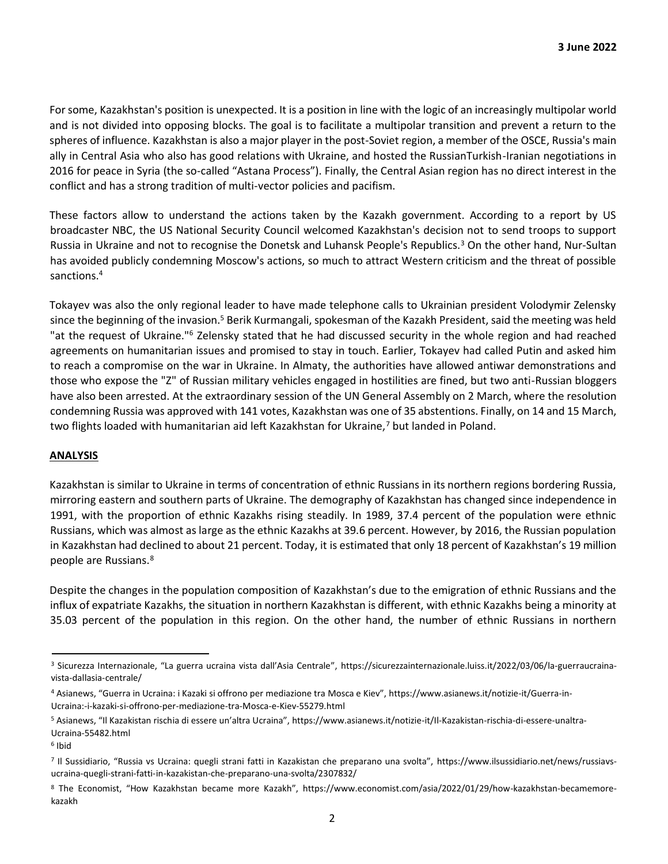For some, Kazakhstan's position is unexpected. It is a position in line with the logic of an increasingly multipolar world and is not divided into opposing blocks. The goal is to facilitate a multipolar transition and prevent a return to the spheres of influence. Kazakhstan is also a major player in the post-Soviet region, a member of the OSCE, Russia's main ally in Central Asia who also has good relations with Ukraine, and hosted the RussianTurkish-Iranian negotiations in 2016 for peace in Syria (the so-called "Astana Process"). Finally, the Central Asian region has no direct interest in the conflict and has a strong tradition of multi-vector policies and pacifism.

These factors allow to understand the actions taken by the Kazakh government. According to a report by US broadcaster NBC, the US National Security Council welcomed Kazakhstan's decision not to send troops to support Russia in Ukraine and not to recognise the Donetsk and Luhansk People's Republics.<sup>3</sup> On the other hand, Nur-Sultan has avoided publicly condemning Moscow's actions, so much to attract Western criticism and the threat of possible sanctions. 4

Tokayev was also the only regional leader to have made telephone calls to Ukrainian president Volodymir Zelensky since the beginning of the invasion.<sup>5</sup> Berik Kurmangali, spokesman of the Kazakh President, said the meeting was held "at the request of Ukraine."<sup>6</sup> Zelensky stated that he had discussed security in the whole region and had reached agreements on humanitarian issues and promised to stay in touch. Earlier, Tokayev had called Putin and asked him to reach a compromise on the war in Ukraine. In Almaty, the authorities have allowed antiwar demonstrations and those who expose the "Z" of Russian military vehicles engaged in hostilities are fined, but two anti-Russian bloggers have also been arrested. At the extraordinary session of the UN General Assembly on 2 March, where the resolution condemning Russia was approved with 141 votes, Kazakhstan was one of 35 abstentions. Finally, on 14 and 15 March, two flights loaded with humanitarian aid left Kazakhstan for Ukraine,<sup>7</sup> but landed in Poland.

# **ANALYSIS**

Kazakhstan is similar to Ukraine in terms of concentration of ethnic Russians in its northern regions bordering Russia, mirroring eastern and southern parts of Ukraine. The demography of Kazakhstan has changed since independence in 1991, with the proportion of ethnic Kazakhs rising steadily. In 1989, 37.4 percent of the population were ethnic Russians, which was almost as large as the ethnic Kazakhs at 39.6 percent. However, by 2016, the Russian population in Kazakhstan had declined to about 21 percent. Today, it is estimated that only 18 percent of Kazakhstan's 19 million people are Russians.<sup>8</sup>

Despite the changes in the population composition of Kazakhstan's due to the emigration of ethnic Russians and the influx of expatriate Kazakhs, the situation in northern Kazakhstan is different, with ethnic Kazakhs being a minority at 35.03 percent of the population in this region. On the other hand, the number of ethnic Russians in northern

<sup>&</sup>lt;sup>3</sup> Sicurezza Internazionale, "La guerra ucraina vista dall'Asia Centrale", [https://sicurezzainternazionale.luiss.it/2022/03/06/la-guerraucraina](https://sicurezzainternazionale.luiss.it/2022/03/06/la-guerra-ucraina-vista-dallasia-centrale/)[vista-dallasia-centrale/](https://sicurezzainternazionale.luiss.it/2022/03/06/la-guerra-ucraina-vista-dallasia-centrale/)

<sup>4</sup> Asianews, "Guerra in Ucraina: i Kazaki si offrono per mediazione tra Mosca e Kiev", [https://www.asianews.it/notizie-it/Guerra-in-](https://www.asianews.it/notizie-it/Guerra-in-Ucraina:-i-kazaki-si-offrono-per-mediazione-tra-Mosca-e-Kiev-55279.html)[Ucraina:-i-kazaki-si-offrono-per-mediazione-tra-Mosca-e-Kiev-55279.html](https://www.asianews.it/notizie-it/Guerra-in-Ucraina:-i-kazaki-si-offrono-per-mediazione-tra-Mosca-e-Kiev-55279.html)

<sup>5</sup> Asianews, "Il Kazakistan rischia di essere un'altra Ucraina", [https://www.asianews.it/notizie-it/Il-Kazakistan-rischia-di-essere-unaltra-](https://www.asianews.it/notizie-it/Il-Kazakistan-rischia-di-essere-unaltra-Ucraina-55482.html)[Ucraina-55482.html](https://www.asianews.it/notizie-it/Il-Kazakistan-rischia-di-essere-unaltra-Ucraina-55482.html) 

<sup>6</sup> Ibid

<sup>7</sup> Il Sussidiario, "Russia vs Ucraina: quegli strani fatti in Kazakistan che preparano una svolta", [https://www.ilsussidiario.net/news/russiavs](https://www.ilsussidiario.net/news/russia-vs-ucraina-quegli-strani-fatti-in-kazakistan-che-preparano-una-svolta/2307832/)[ucraina-quegli-strani-fatti-in-kazakistan-che-preparano-una-svolta/2307832/](https://www.ilsussidiario.net/news/russia-vs-ucraina-quegli-strani-fatti-in-kazakistan-che-preparano-una-svolta/2307832/)

<sup>8</sup> The Economist, "How Kazakhstan became more Kazakh", [https://www.economist.com/asia/2022/01/29/how-kazakhstan-becamemore](https://www.economist.com/asia/2022/01/29/how-kazakhstan-became-more-kazakh)[kazakh](https://www.economist.com/asia/2022/01/29/how-kazakhstan-became-more-kazakh)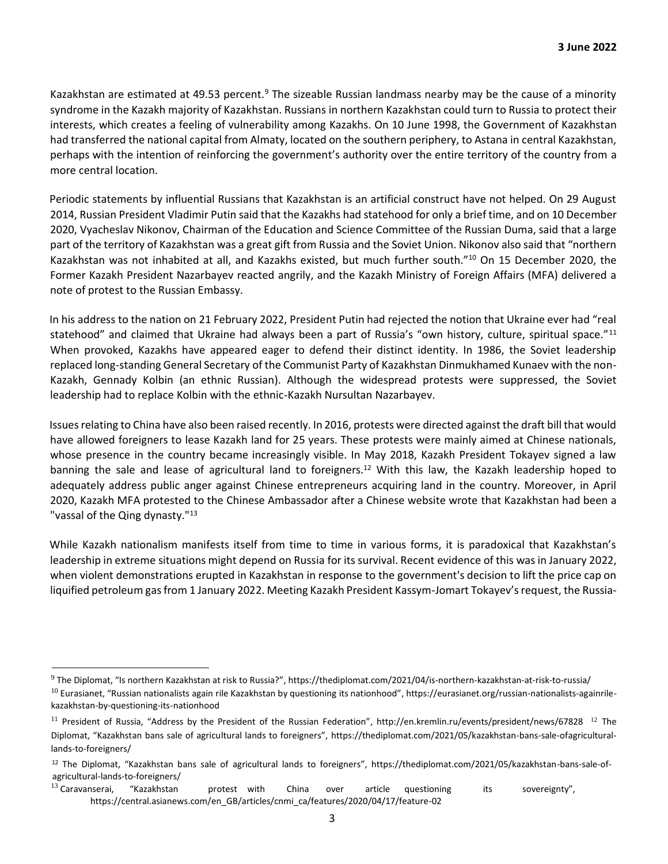Kazakhstan are estimated at 49.53 percent.<sup>9</sup> The sizeable Russian landmass nearby may be the cause of a minority syndrome in the Kazakh majority of Kazakhstan. Russians in northern Kazakhstan could turn to Russia to protect their interests, which creates a feeling of vulnerability among Kazakhs. On 10 June 1998, the Government of Kazakhstan had transferred the national capital from Almaty, located on the southern periphery, to Astana in central Kazakhstan, perhaps with the intention of reinforcing the government's authority over the entire territory of the country from a more central location.

Periodic statements by influential Russians that Kazakhstan is an artificial construct have not helped. On 29 August 2014, Russian President Vladimir Putin said that the Kazakhs had statehood for only a brief time, and on 10 December 2020, Vyacheslav Nikonov, Chairman of the Education and Science Committee of the Russian Duma, said that a large part of the territory of Kazakhstan was a great gift from Russia and the Soviet Union. Nikonov also said that "northern Kazakhstan was not inhabited at all, and Kazakhs existed, but much further south."<sup>10</sup> On 15 December 2020, the Former Kazakh President Nazarbayev reacted angrily, and the Kazakh Ministry of Foreign Affairs (MFA) delivered a note of protest to the Russian Embassy.

In his address to the nation on 21 February 2022, President Putin had rejected the notion that Ukraine ever had "real statehood" and claimed that Ukraine had always been a part of Russia's "own history, culture, spiritual space."<sup>11</sup> When provoked, Kazakhs have appeared eager to defend their distinct identity. In 1986, the Soviet leadership replaced long-standing General Secretary of the Communist Party of Kazakhstan Dinmukhamed Kunaev with the non-Kazakh, Gennady Kolbin (an ethnic Russian). Although the widespread protests were suppressed, the Soviet leadership had to replace Kolbin with the ethnic-Kazakh Nursultan Nazarbayev.

Issues relating to China have also been raised recently. In 2016, protests were directed against the draft bill that would have allowed foreigners to lease Kazakh land for 25 years. These protests were mainly aimed at Chinese nationals, whose presence in the country became increasingly visible. In May 2018, Kazakh President Tokayev signed a law banning the sale and lease of agricultural land to foreigners.<sup>12</sup> With this law, the Kazakh leadership hoped to adequately address public anger against Chinese entrepreneurs acquiring land in the country. Moreover, in April 2020, Kazakh MFA protested to the Chinese Ambassador after a Chinese website wrote that Kazakhstan had been a "vassal of the Qing dynasty."<sup>13</sup>

While Kazakh nationalism manifests itself from time to time in various forms, it is paradoxical that Kazakhstan's leadership in extreme situations might depend on Russia for its survival. Recent evidence of this was in January 2022, when violent demonstrations erupted in Kazakhstan in response to the government's decision to lift the price cap on liquified petroleum gas from 1 January 2022. Meeting Kazakh President Kassym-Jomart Tokayev's request, the Russia-

 $^9$  The Diplomat, "Is northern Kazakhstan at risk to Russia?"[, https://thediplomat.com/2021/04/is-northern-kazakhstan-at-risk-to-russia/](https://thediplomat.com/2021/04/is-northern-kazakhstan-at-risk-to-russia/)  $^{10}$  Eurasianet, "Russian nationalists again rile Kazakhstan by questioning its nationhood"[, https://eurasianet.org/russian-nationalists-againrile-](https://eurasianet.org/russian-nationalists-again-rile-kazakhstan-by-questioning-its-nationhood)

[kazakhstan-by-questioning-its-nationhood](https://eurasianet.org/russian-nationalists-again-rile-kazakhstan-by-questioning-its-nationhood)

<sup>&</sup>lt;sup>11</sup> President of Russia, "Address by the President of the Russian Federation"[, http://en.kremlin.ru/events/president/news/67828](http://en.kremlin.ru/events/president/news/67828) <sup>12</sup> The Diplomat, "Kazakhstan bans sale of agricultural lands to foreigners", [https://thediplomat.com/2021/05/kazakhstan-bans-sale-ofagricultural](https://thediplomat.com/2021/05/kazakhstan-bans-sale-of-agricultural-lands-to-foreigners/)[lands-to-foreigners/](https://thediplomat.com/2021/05/kazakhstan-bans-sale-of-agricultural-lands-to-foreigners/)

<sup>12</sup> The Diplomat, "Kazakhstan bans sale of agricultural lands to foreigners", https://thediplomat.com/2021/05/kazakhstan-bans-sale-ofagricultural-lands-to-foreigners/

 $^{13}$  Caravanserai, "Kazakhstan protest with China over article questioning its sovereignty", [https://central.asianews.com/en\\_GB/articles/cnmi\\_ca/features/2020/04/17/feature-02](https://central.asia-news.com/en_GB/articles/cnmi_ca/features/2020/04/17/feature-02)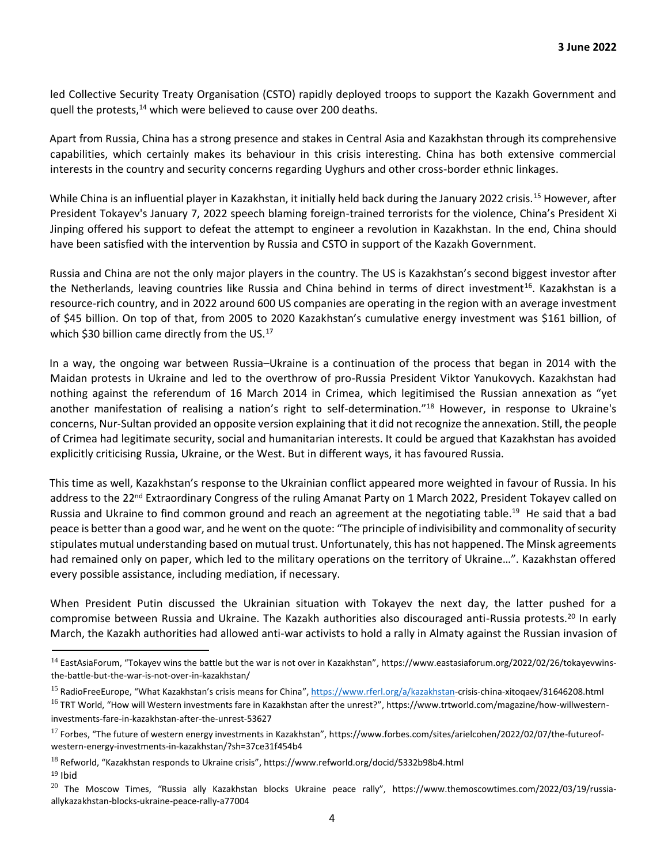led Collective Security Treaty Organisation (CSTO) rapidly deployed troops to support the Kazakh Government and quell the protests,<sup>14</sup> which were believed to cause over 200 deaths.

Apart from Russia, China has a strong presence and stakes in Central Asia and Kazakhstan through its comprehensive capabilities, which certainly makes its behaviour in this crisis interesting. China has both extensive commercial interests in the country and security concerns regarding Uyghurs and other cross-border ethnic linkages.

While China is an influential player in Kazakhstan, it initially held back during the January 2022 crisis.<sup>15</sup> However, after President Tokayev's January 7, 2022 speech blaming foreign-trained terrorists for the violence, China's President Xi Jinping offered his support to defeat the attempt to engineer a revolution in Kazakhstan. In the end, China should have been satisfied with the intervention by Russia and CSTO in support of the Kazakh Government.

Russia and China are not the only major players in the country. The US is Kazakhstan's second biggest investor after the Netherlands, leaving countries like Russia and China behind in terms of direct investment<sup>16</sup>. Kazakhstan is a resource-rich country, and in 2022 around 600 US companies are operating in the region with an average investment of \$45 billion. On top of that, from 2005 to 2020 Kazakhstan's cumulative energy investment was \$161 billion, of which \$30 billion came directly from the US. $^{17}$ 

In a way, the ongoing war between Russia–Ukraine is a continuation of the process that began in 2014 with the Maidan protests in Ukraine and led to the overthrow of pro-Russia President Viktor Yanukovych. Kazakhstan had nothing against the referendum of 16 March 2014 in Crimea, which legitimised the Russian annexation as "yet another manifestation of realising a nation's right to self-determination."<sup>18</sup> However, in response to Ukraine's concerns, Nur-Sultan provided an opposite version explaining that it did not recognize the annexation. Still, the people of Crimea had legitimate security, social and humanitarian interests. It could be argued that Kazakhstan has avoided explicitly criticising Russia, Ukraine, or the West. But in different ways, it has favoured Russia.

This time as well, Kazakhstan's response to the Ukrainian conflict appeared more weighted in favour of Russia. In his address to the 22<sup>nd</sup> Extraordinary Congress of the ruling Amanat Party on 1 March 2022, President Tokayev called on Russia and Ukraine to find common ground and reach an agreement at the negotiating table.<sup>19</sup> He said that a bad peace is better than a good war, and he went on the quote: "The principle of indivisibility and commonality of security stipulates mutual understanding based on mutual trust. Unfortunately, this has not happened. The Minsk agreements had remained only on paper, which led to the military operations on the territory of Ukraine…". Kazakhstan offered every possible assistance, including mediation, if necessary.

When President Putin discussed the Ukrainian situation with Tokayev the next day, the latter pushed for a compromise between Russia and Ukraine. The Kazakh authorities also discouraged anti-Russia protests.<sup>20</sup> In early March, the Kazakh authorities had allowed anti-war activists to hold a rally in Almaty against the Russian invasion of

<sup>&</sup>lt;sup>14</sup> EastAsiaForum, "Tokayev wins the battle but the war is not over in Kazakhstan"[, https://www.eastasiaforum.org/2022/02/26/tokayevwins](https://www.eastasiaforum.org/2022/02/26/tokayev-wins-the-battle-but-the-war-is-not-over-in-kazakhstan/)[the-battle-but-the-war-is-not-over-in-kazakhstan/](https://www.eastasiaforum.org/2022/02/26/tokayev-wins-the-battle-but-the-war-is-not-over-in-kazakhstan/)

<sup>&</sup>lt;sup>15</sup> RadioFreeEurope, "What Kazakhstan's crisis means for China", [https://www.rferl.org/a/kazakhstan-](https://www.rferl.org/a/kazakhstan)[crisis-china-xitoqaev/31646208.html](https://www.rferl.org/a/kazakhstan-crisis-china-xi-toqaev/31646208.html)

<sup>&</sup>lt;sup>16</sup> TRT World, "How will Western investments fare in Kazakhstan after the unrest?"[, https://www.trtworld.com/magazine/how-willwestern](https://www.trtworld.com/magazine/how-will-western-investments-fare-in-kazakhstan-after-the-unrest-53627)[investments-fare-in-kazakhstan-after-the-unrest-53627](https://www.trtworld.com/magazine/how-will-western-investments-fare-in-kazakhstan-after-the-unrest-53627)

 $17$  Forbes, "The future of western energy investments in Kazakhstan", [https://www.forbes.com/sites/arielcohen/2022/02/07/the-futureof](https://www.forbes.com/sites/arielcohen/2022/02/07/the-future-of-western-energy-investments-in-kazakhstan/?sh=37ce31f454b4)[western-energy-investments-in-kazakhstan/?sh=37ce31f454b4](https://www.forbes.com/sites/arielcohen/2022/02/07/the-future-of-western-energy-investments-in-kazakhstan/?sh=37ce31f454b4)

<sup>18</sup> Refworld, "Kazakhstan responds to Ukraine crisis"[, https://www.refworld.org/docid/5332b98b4.html](https://www.refworld.org/docid/5332b98b4.html)   $19$  Ibid

 $^{20}$  The Moscow Times, "Russia ally Kazakhstan blocks Ukraine peace rally", [https://www.themoscowtimes.com/2022/03/19/russia](https://www.themoscowtimes.com/2022/03/19/russia-ally-kazakhstan-blocks-ukraine-peace-rally-a77004)[allykazakhstan-blocks-ukraine-peace-rally-a77004](https://www.themoscowtimes.com/2022/03/19/russia-ally-kazakhstan-blocks-ukraine-peace-rally-a77004)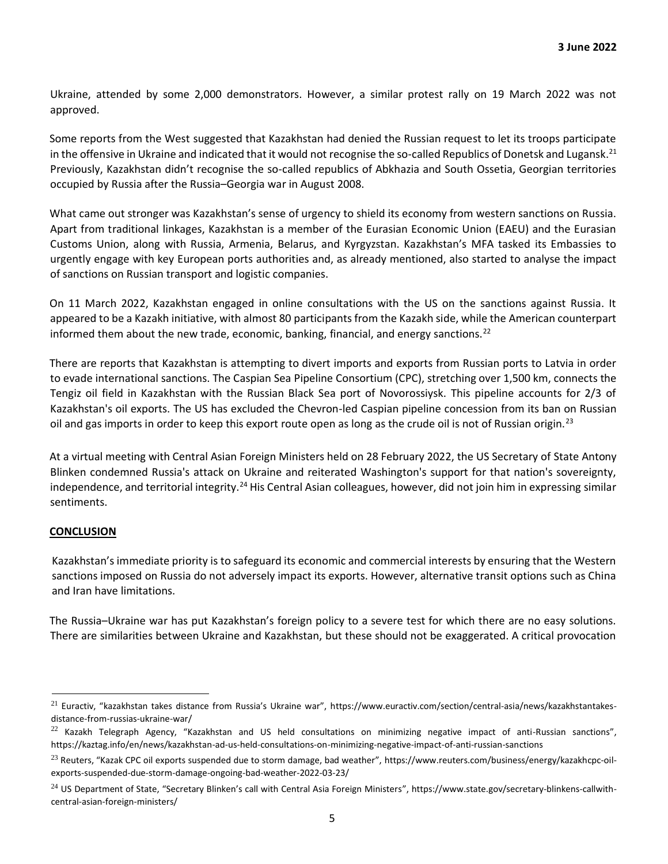Ukraine, attended by some 2,000 demonstrators. However, a similar protest rally on 19 March 2022 was not approved.

Some reports from the West suggested that Kazakhstan had denied the Russian request to let its troops participate in the offensive in Ukraine and indicated that it would not recognise the so-called Republics of Donetsk and Lugansk.<sup>21</sup> Previously, Kazakhstan didn't recognise the so-called republics of Abkhazia and South Ossetia, Georgian territories occupied by Russia after the Russia–Georgia war in August 2008.

What came out stronger was Kazakhstan's sense of urgency to shield its economy from western sanctions on Russia. Apart from traditional linkages, Kazakhstan is a member of the Eurasian Economic Union (EAEU) and the Eurasian Customs Union, along with Russia, Armenia, Belarus, and Kyrgyzstan. Kazakhstan's MFA tasked its Embassies to urgently engage with key European ports authorities and, as already mentioned, also started to analyse the impact of sanctions on Russian transport and logistic companies.

On 11 March 2022, Kazakhstan engaged in online consultations with the US on the sanctions against Russia. It appeared to be a Kazakh initiative, with almost 80 participants from the Kazakh side, while the American counterpart informed them about the new trade, economic, banking, financial, and energy sanctions.<sup>22</sup>

There are reports that Kazakhstan is attempting to divert imports and exports from Russian ports to Latvia in order to evade international sanctions. The Caspian Sea Pipeline Consortium (CPC), stretching over 1,500 km, connects the Tengiz oil field in Kazakhstan with the Russian Black Sea port of Novorossiysk. This pipeline accounts for 2/3 of Kazakhstan's oil exports. The US has excluded the Chevron-led Caspian pipeline concession from its ban on Russian oil and gas imports in order to keep this export route open as long as the crude oil is not of Russian origin.<sup>23</sup>

At a virtual meeting with Central Asian Foreign Ministers held on 28 February 2022, the US Secretary of State Antony Blinken condemned Russia's attack on Ukraine and reiterated Washington's support for that nation's sovereignty, independence, and territorial integrity.<sup>24</sup> His Central Asian colleagues, however, did not join him in expressing similar sentiments.

### **CONCLUSION**

Kazakhstan's immediate priority is to safeguard its economic and commercial interests by ensuring that the Western sanctions imposed on Russia do not adversely impact its exports. However, alternative transit options such as China and Iran have limitations.

The Russia–Ukraine war has put Kazakhstan's foreign policy to a severe test for which there are no easy solutions. There are similarities between Ukraine and Kazakhstan, but these should not be exaggerated. A critical provocation

 $^{21}$  Euractiv, "kazakhstan takes distance from Russia's Ukraine war", [https://www.euractiv.com/section/central-asia/news/kazakhstantakes](https://www.euractiv.com/section/central-asia/news/kazakhstan-takes-distance-from-russias-ukraine-war/)[distance-from-russias-ukraine-war/](https://www.euractiv.com/section/central-asia/news/kazakhstan-takes-distance-from-russias-ukraine-war/)

 $^{22}$  Kazakh Telegraph Agency, "Kazakhstan and US held consultations on minimizing negative impact of anti-Russian sanctions", <https://kaztag.info/en/news/kazakhstan-ad-us-held-consultations-on-minimizing-negative-impact-of-anti-russian-sanctions>

 $^{23}$  Reuters, "Kazak CPC oil exports suspended due to storm damage, bad weather", [https://www.reuters.com/business/energy/kazakhcpc-oil](https://www.reuters.com/business/energy/kazakh-cpc-oil-exports-suspended-due-storm-damage-ongoing-bad-weather-2022-03-23/)[exports-suspended-due-storm-damage-ongoing-bad-weather-2022-03-23/](https://www.reuters.com/business/energy/kazakh-cpc-oil-exports-suspended-due-storm-damage-ongoing-bad-weather-2022-03-23/)

 $^{24}$  US Department of State, "Secretary Blinken's call with Central Asia Foreign Ministers", [https://www.state.gov/secretary-blinkens-callwith](https://www.state.gov/secretary-blinkens-call-with-central-asian-foreign-ministers/)[central-asian-foreign-ministers/](https://www.state.gov/secretary-blinkens-call-with-central-asian-foreign-ministers/)